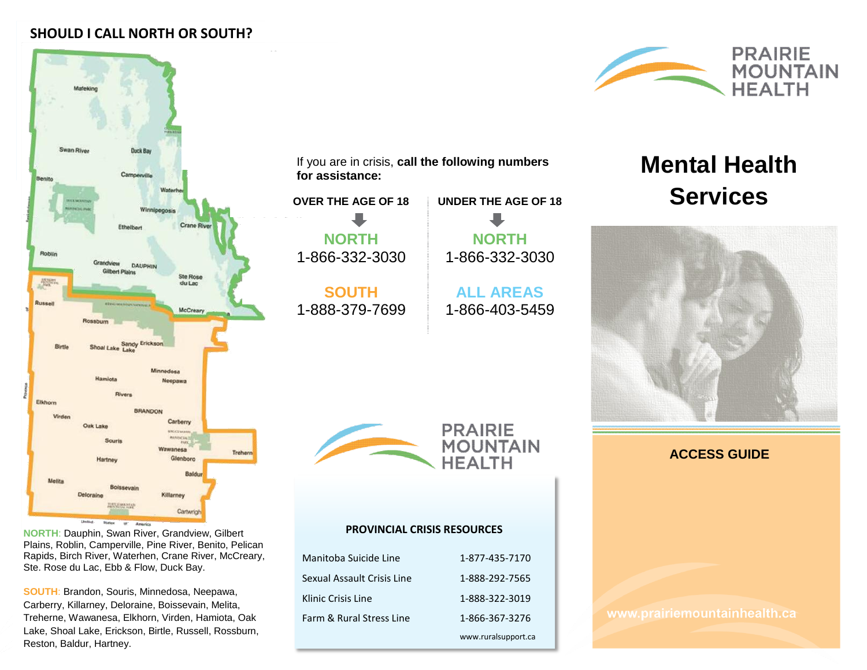## **SHOULD I CALL NORTH OR SOUTH?**



**PRAIRIE MOUNTAIN HEALTH** 

# **Mental Health Services**



**PRAIRIE MOUNTAIN HEALTH** 

**UNDER THE AGE OF 18**

**NORTH** 1-866-332-3030

**ALL AREAS** 1-866-403-5459

**NORTH**: Dauphin, Swan River, Grandview, Gilbert Plains, Roblin, Camperville, Pine River, Benito, Pelican Rapids, Birch River, Waterhen, Crane River, McCreary, Ste. Rose du Lac, Ebb & Flow, Duck Bay.

**SOUTH**: Brandon, Souris, Minnedosa, Neepawa, Carberry, Killarney, Deloraine, Boissevain, Melita, Treherne, Wawanesa, Elkhorn, Virden, Hamiota, Oak Lake, Shoal Lake, Erickson, Birtle, Russell, Rossburn, Reston, Baldur, Hartney.

#### **PROVINCIAL CRISIS RESOURCES**

If you are in crisis, **call the following numbers** 

**OVER THE AGE OF 18**

**for assistance:** 

**NORTH** 1-866-332-3030

**SOUTH** 1-888-379-7699

| Manitoba Suicide Line      | 1-877-435-7170      |
|----------------------------|---------------------|
| Sexual Assault Crisis Line | 1-888-292-7565      |
| Klinic Crisis Line         | 1-888-322-3019      |
| Farm & Rural Stress Line   | 1-866-367-3276      |
|                            | www.ruralsupport.ca |

**ACCESS GUIDE**